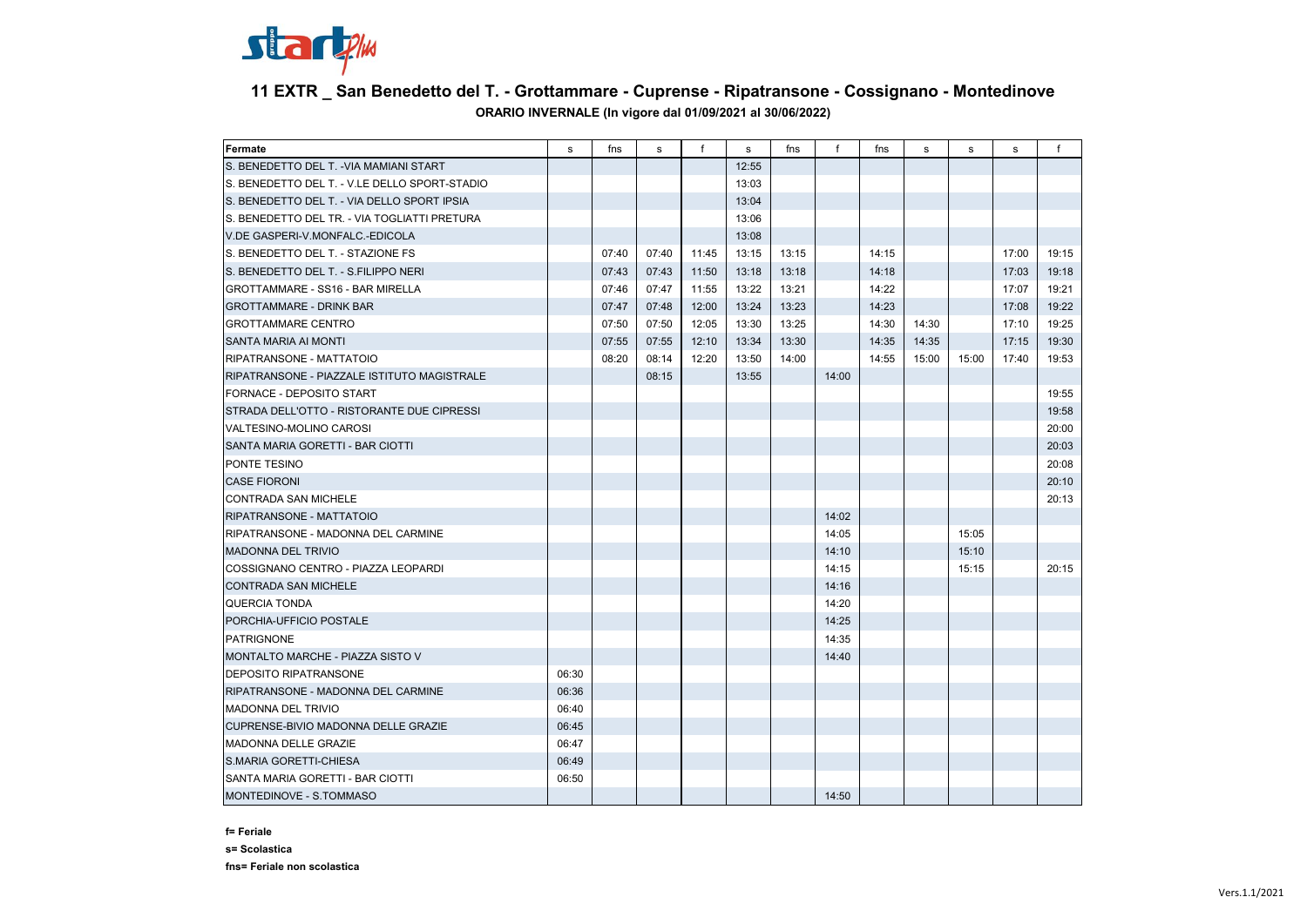

## **11 EXTR \_ San Benedetto del T. - Grottammare - Cuprense - Ripatransone - Cossignano - Montedinove ORARIO INVERNALE (In vigore dal 01/09/2021 al 30/06/2022)**

| Fermate                                       | s     | fns   | s     | $\mathsf{f}$ | s     | fns   | f     | fns   | s     | s     | s     | $\mathsf{f}$ |
|-----------------------------------------------|-------|-------|-------|--------------|-------|-------|-------|-------|-------|-------|-------|--------------|
| S. BENEDETTO DEL T. - VIA MAMIANI START       |       |       |       |              | 12:55 |       |       |       |       |       |       |              |
| S. BENEDETTO DEL T. - V.LE DELLO SPORT-STADIO |       |       |       |              | 13:03 |       |       |       |       |       |       |              |
| S. BENEDETTO DEL T. - VIA DELLO SPORT IPSIA   |       |       |       |              | 13:04 |       |       |       |       |       |       |              |
| S. BENEDETTO DEL TR. - VIA TOGLIATTI PRETURA  |       |       |       |              | 13:06 |       |       |       |       |       |       |              |
| V.DE GASPERI-V.MONFALC.-EDICOLA               |       |       |       |              | 13:08 |       |       |       |       |       |       |              |
| S. BENEDETTO DEL T. - STAZIONE FS             |       | 07:40 | 07:40 | 11:45        | 13:15 | 13:15 |       | 14:15 |       |       | 17:00 | 19:15        |
| S. BENEDETTO DEL T. - S.FILIPPO NERI          |       | 07:43 | 07:43 | 11:50        | 13:18 | 13:18 |       | 14:18 |       |       | 17:03 | 19:18        |
| GROTTAMMARE - SS16 - BAR MIRELLA              |       | 07:46 | 07:47 | 11:55        | 13:22 | 13:21 |       | 14:22 |       |       | 17:07 | 19:21        |
| <b>GROTTAMMARE - DRINK BAR</b>                |       | 07:47 | 07:48 | 12:00        | 13:24 | 13:23 |       | 14:23 |       |       | 17:08 | 19:22        |
| <b>GROTTAMMARE CENTRO</b>                     |       | 07:50 | 07:50 | 12:05        | 13:30 | 13:25 |       | 14:30 | 14:30 |       | 17:10 | 19:25        |
| SANTA MARIA AI MONTI                          |       | 07:55 | 07:55 | 12:10        | 13:34 | 13:30 |       | 14:35 | 14:35 |       | 17:15 | 19:30        |
| RIPATRANSONE - MATTATOIO                      |       | 08:20 | 08:14 | 12:20        | 13:50 | 14:00 |       | 14:55 | 15:00 | 15:00 | 17:40 | 19:53        |
| RIPATRANSONE - PIAZZALE ISTITUTO MAGISTRALE   |       |       | 08:15 |              | 13:55 |       | 14:00 |       |       |       |       |              |
| FORNACE - DEPOSITO START                      |       |       |       |              |       |       |       |       |       |       |       | 19:55        |
| STRADA DELL'OTTO - RISTORANTE DUE CIPRESSI    |       |       |       |              |       |       |       |       |       |       |       | 19:58        |
| VALTESINO-MOLINO CAROSI                       |       |       |       |              |       |       |       |       |       |       |       | 20:00        |
| SANTA MARIA GORETTI - BAR CIOTTI              |       |       |       |              |       |       |       |       |       |       |       | 20:03        |
| PONTE TESINO                                  |       |       |       |              |       |       |       |       |       |       |       | 20:08        |
| <b>CASE FIORONI</b>                           |       |       |       |              |       |       |       |       |       |       |       | 20:10        |
| <b>CONTRADA SAN MICHELE</b>                   |       |       |       |              |       |       |       |       |       |       |       | 20:13        |
| RIPATRANSONE - MATTATOIO                      |       |       |       |              |       |       | 14:02 |       |       |       |       |              |
| RIPATRANSONE - MADONNA DEL CARMINE            |       |       |       |              |       |       | 14:05 |       |       | 15:05 |       |              |
| <b>MADONNA DEL TRIVIO</b>                     |       |       |       |              |       |       | 14:10 |       |       | 15:10 |       |              |
| COSSIGNANO CENTRO - PIAZZA LEOPARDI           |       |       |       |              |       |       | 14:15 |       |       | 15:15 |       | 20:15        |
| <b>CONTRADA SAN MICHELE</b>                   |       |       |       |              |       |       | 14:16 |       |       |       |       |              |
| QUERCIA TONDA                                 |       |       |       |              |       |       | 14:20 |       |       |       |       |              |
| PORCHIA-UFFICIO POSTALE                       |       |       |       |              |       |       | 14:25 |       |       |       |       |              |
| <b>PATRIGNONE</b>                             |       |       |       |              |       |       | 14:35 |       |       |       |       |              |
| MONTALTO MARCHE - PIAZZA SISTO V              |       |       |       |              |       |       | 14:40 |       |       |       |       |              |
| DEPOSITO RIPATRANSONE                         | 06:30 |       |       |              |       |       |       |       |       |       |       |              |
| RIPATRANSONE - MADONNA DEL CARMINE            | 06:36 |       |       |              |       |       |       |       |       |       |       |              |
| <b>MADONNA DEL TRIVIO</b>                     | 06:40 |       |       |              |       |       |       |       |       |       |       |              |
| CUPRENSE-BIVIO MADONNA DELLE GRAZIE           | 06:45 |       |       |              |       |       |       |       |       |       |       |              |
| <b>MADONNA DELLE GRAZIE</b>                   | 06:47 |       |       |              |       |       |       |       |       |       |       |              |
| S.MARIA GORETTI-CHIESA                        | 06:49 |       |       |              |       |       |       |       |       |       |       |              |
| SANTA MARIA GORETTI - BAR CIOTTI              | 06:50 |       |       |              |       |       |       |       |       |       |       |              |
| MONTEDINOVE - S.TOMMASO                       |       |       |       |              |       |       | 14:50 |       |       |       |       |              |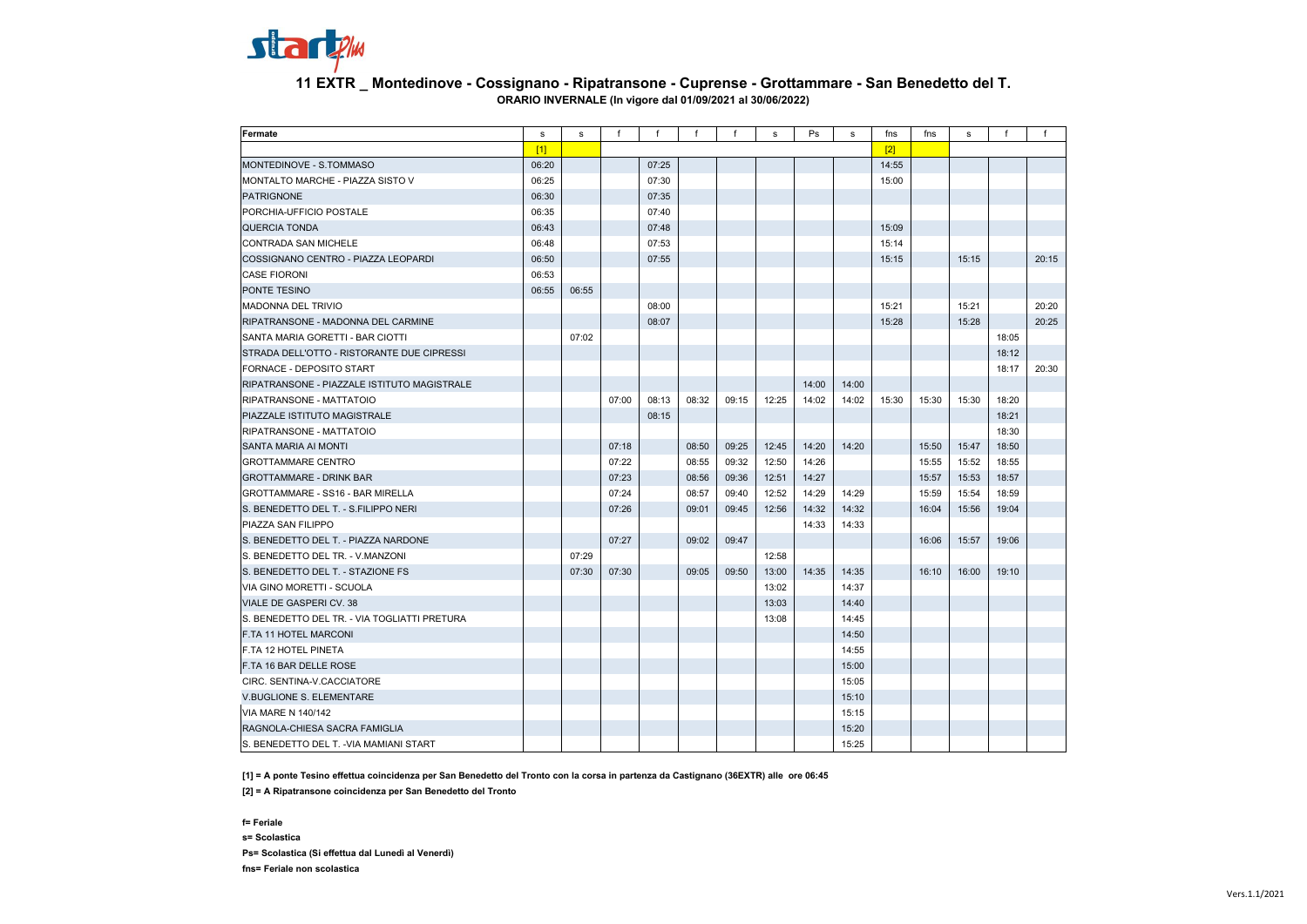

## **11 EXTR \_ Montedinove - Cossignano - Ripatransone - Cuprense - Grottammare - San Benedetto del T. ORARIO INVERNALE (In vigore dal 01/09/2021 al 30/06/2022)**

| Fermate                                      | s     | s     | $\mathsf{f}$ | $\mathsf{f}$ | $\mathbf{f}$ | $\mathsf{f}$ | s     | Ps    | s     | fns        | fns   | s     | f     | f     |
|----------------------------------------------|-------|-------|--------------|--------------|--------------|--------------|-------|-------|-------|------------|-------|-------|-------|-------|
|                                              | [1]   |       |              |              |              |              |       |       |       | $\sqrt{2}$ |       |       |       |       |
| MONTEDINOVE - S.TOMMASO                      | 06:20 |       |              | 07:25        |              |              |       |       |       | 14:55      |       |       |       |       |
| MONTALTO MARCHE - PIAZZA SISTO V             | 06:25 |       |              | 07:30        |              |              |       |       |       | 15:00      |       |       |       |       |
| <b>PATRIGNONE</b>                            | 06:30 |       |              | 07:35        |              |              |       |       |       |            |       |       |       |       |
| PORCHIA-UFFICIO POSTALE                      | 06:35 |       |              | 07:40        |              |              |       |       |       |            |       |       |       |       |
| <b>QUERCIA TONDA</b>                         | 06:43 |       |              | 07:48        |              |              |       |       |       | 15:09      |       |       |       |       |
| CONTRADA SAN MICHELE                         | 06:48 |       |              | 07:53        |              |              |       |       |       | 15:14      |       |       |       |       |
| COSSIGNANO CENTRO - PIAZZA LEOPARDI          | 06:50 |       |              | 07:55        |              |              |       |       |       | 15:15      |       | 15:15 |       | 20:15 |
| <b>CASE FIORONI</b>                          | 06:53 |       |              |              |              |              |       |       |       |            |       |       |       |       |
| PONTE TESINO                                 | 06:55 | 06:55 |              |              |              |              |       |       |       |            |       |       |       |       |
| <b>MADONNA DEL TRIVIO</b>                    |       |       |              | 08:00        |              |              |       |       |       | 15:21      |       | 15:21 |       | 20:20 |
| RIPATRANSONE - MADONNA DEL CARMINE           |       |       |              | 08:07        |              |              |       |       |       | 15:28      |       | 15:28 |       | 20:25 |
| SANTA MARIA GORETTI - BAR CIOTTI             |       | 07:02 |              |              |              |              |       |       |       |            |       |       | 18:05 |       |
| STRADA DELL'OTTO - RISTORANTE DUE CIPRESSI   |       |       |              |              |              |              |       |       |       |            |       |       | 18:12 |       |
| FORNACE - DEPOSITO START                     |       |       |              |              |              |              |       |       |       |            |       |       | 18:17 | 20:30 |
| RIPATRANSONE - PIAZZALE ISTITUTO MAGISTRALE  |       |       |              |              |              |              |       | 14:00 | 14:00 |            |       |       |       |       |
| RIPATRANSONE - MATTATOIO                     |       |       | 07:00        | 08:13        | 08:32        | 09:15        | 12:25 | 14:02 | 14:02 | 15:30      | 15:30 | 15:30 | 18:20 |       |
| PIAZZALE ISTITUTO MAGISTRALE                 |       |       |              | 08:15        |              |              |       |       |       |            |       |       | 18:21 |       |
| RIPATRANSONE - MATTATOIO                     |       |       |              |              |              |              |       |       |       |            |       |       | 18:30 |       |
| SANTA MARIA AI MONTI                         |       |       | 07:18        |              | 08:50        | 09:25        | 12:45 | 14:20 | 14:20 |            | 15:50 | 15:47 | 18:50 |       |
| <b>GROTTAMMARE CENTRO</b>                    |       |       | 07:22        |              | 08:55        | 09:32        | 12:50 | 14:26 |       |            | 15:55 | 15:52 | 18:55 |       |
| <b>GROTTAMMARE - DRINK BAR</b>               |       |       | 07:23        |              | 08:56        | 09:36        | 12:51 | 14:27 |       |            | 15:57 | 15:53 | 18:57 |       |
| <b>GROTTAMMARE - SS16 - BAR MIRELLA</b>      |       |       | 07:24        |              | 08:57        | 09:40        | 12:52 | 14:29 | 14:29 |            | 15:59 | 15:54 | 18:59 |       |
| S. BENEDETTO DEL T. - S.FILIPPO NERI         |       |       | 07:26        |              | 09:01        | 09:45        | 12:56 | 14:32 | 14:32 |            | 16:04 | 15:56 | 19:04 |       |
| PIAZZA SAN FILIPPO                           |       |       |              |              |              |              |       | 14:33 | 14:33 |            |       |       |       |       |
| S. BENEDETTO DEL T. - PIAZZA NARDONE         |       |       | 07:27        |              | 09:02        | 09:47        |       |       |       |            | 16:06 | 15:57 | 19:06 |       |
| S. BENEDETTO DEL TR. - V.MANZONI             |       | 07:29 |              |              |              |              | 12:58 |       |       |            |       |       |       |       |
| S. BENEDETTO DEL T. - STAZIONE FS            |       | 07:30 | 07:30        |              | 09:05        | 09:50        | 13:00 | 14:35 | 14:35 |            | 16:10 | 16:00 | 19:10 |       |
| VIA GINO MORETTI - SCUOLA                    |       |       |              |              |              |              | 13:02 |       | 14:37 |            |       |       |       |       |
| VIALE DE GASPERI CV. 38                      |       |       |              |              |              |              | 13:03 |       | 14:40 |            |       |       |       |       |
| S. BENEDETTO DEL TR. - VIA TOGLIATTI PRETURA |       |       |              |              |              |              | 13:08 |       | 14:45 |            |       |       |       |       |
| F.TA 11 HOTEL MARCONI                        |       |       |              |              |              |              |       |       | 14:50 |            |       |       |       |       |
| F.TA 12 HOTEL PINETA                         |       |       |              |              |              |              |       |       | 14:55 |            |       |       |       |       |
| F.TA 16 BAR DELLE ROSE                       |       |       |              |              |              |              |       |       | 15:00 |            |       |       |       |       |
| CIRC. SENTINA-V.CACCIATORE                   |       |       |              |              |              |              |       |       | 15:05 |            |       |       |       |       |
| <b>V.BUGLIONE S. ELEMENTARE</b>              |       |       |              |              |              |              |       |       | 15:10 |            |       |       |       |       |
| <b>VIA MARE N 140/142</b>                    |       |       |              |              |              |              |       |       | 15:15 |            |       |       |       |       |
| RAGNOLA-CHIESA SACRA FAMIGLIA                |       |       |              |              |              |              |       |       | 15:20 |            |       |       |       |       |
| S. BENEDETTO DEL T. - VIA MAMIANI START      |       |       |              |              |              |              |       |       | 15:25 |            |       |       |       |       |

**[1] = A ponte Tesino effettua coincidenza per San Benedetto del Tronto con la corsa in partenza da Castignano (36EXTR) alle ore 06:45**

**[2] = A Ripatransone coincidenza per San Benedetto del Tronto**

**f= Feriale s= Scolastica Ps= Scolastica (Si effettua dal Lunedì al Venerdì) fns= Feriale non scolastica**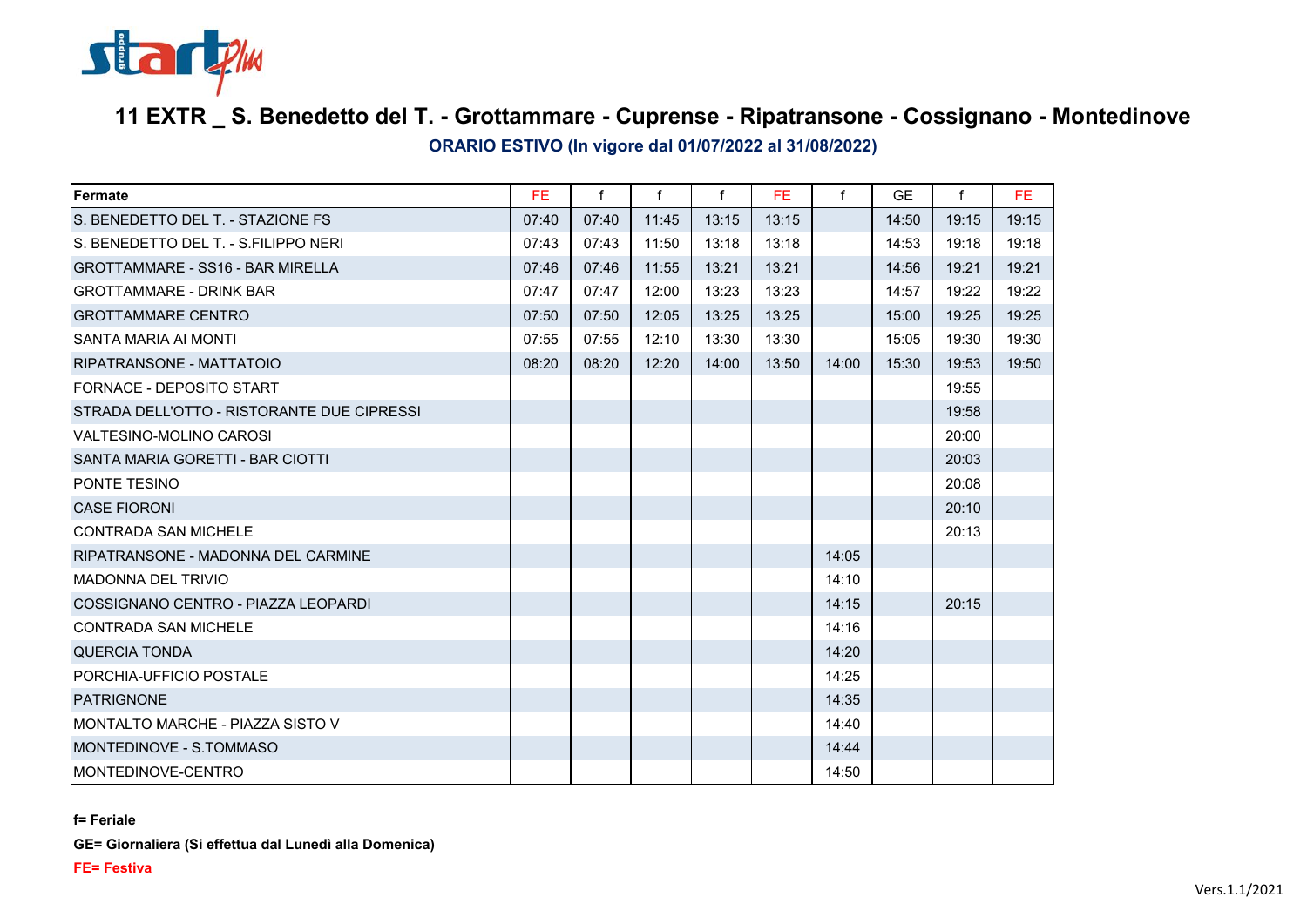

## **11 EXTR \_ S. Benedetto del T. - Grottammare - Cuprense - Ripatransone - Cossignano - Montedinove**

**ORARIO ESTIVO (In vigore dal 01/07/2022 al 31/08/2022)**

| Fermate                                    | FE.   | $\mathsf{f}$ | f     | f     | FE.   | f     | <b>GE</b> | f     | FE.   |
|--------------------------------------------|-------|--------------|-------|-------|-------|-------|-----------|-------|-------|
| S. BENEDETTO DEL T. - STAZIONE FS.         | 07:40 | 07:40        | 11:45 | 13:15 | 13:15 |       | 14:50     | 19:15 | 19:15 |
| IS. BENEDETTO DEL T. - S.FILIPPO NERI      | 07:43 | 07:43        | 11:50 | 13:18 | 13:18 |       | 14:53     | 19:18 | 19:18 |
| <b>GROTTAMMARE - SS16 - BAR MIRELLA</b>    | 07:46 | 07:46        | 11:55 | 13:21 | 13:21 |       | 14:56     | 19:21 | 19:21 |
| <b>GROTTAMMARE - DRINK BAR</b>             | 07:47 | 07:47        | 12:00 | 13:23 | 13:23 |       | 14:57     | 19:22 | 19:22 |
| <b>GROTTAMMARE CENTRO</b>                  | 07:50 | 07:50        | 12:05 | 13:25 | 13:25 |       | 15:00     | 19:25 | 19:25 |
| <b>SANTA MARIA AI MONTI</b>                | 07:55 | 07:55        | 12:10 | 13:30 | 13:30 |       | 15:05     | 19:30 | 19:30 |
| RIPATRANSONE - MATTATOIO                   | 08:20 | 08:20        | 12:20 | 14:00 | 13:50 | 14:00 | 15:30     | 19:53 | 19:50 |
| FORNACE - DEPOSITO START                   |       |              |       |       |       |       |           | 19:55 |       |
| STRADA DELL'OTTO - RISTORANTE DUE CIPRESSI |       |              |       |       |       |       |           | 19:58 |       |
| VALTESINO-MOLINO CAROSI                    |       |              |       |       |       |       |           | 20:00 |       |
| SANTA MARIA GORETTI - BAR CIOTTI           |       |              |       |       |       |       |           | 20:03 |       |
| PONTE TESINO                               |       |              |       |       |       |       |           | 20:08 |       |
| <b>CASE FIORONI</b>                        |       |              |       |       |       |       |           | 20:10 |       |
| <b>CONTRADA SAN MICHELE</b>                |       |              |       |       |       |       |           | 20:13 |       |
| RIPATRANSONE - MADONNA DEL CARMINE         |       |              |       |       |       | 14:05 |           |       |       |
| <b>MADONNA DEL TRIVIO</b>                  |       |              |       |       |       | 14:10 |           |       |       |
| COSSIGNANO CENTRO - PIAZZA LEOPARDI        |       |              |       |       |       | 14:15 |           | 20:15 |       |
| <b>CONTRADA SAN MICHELE</b>                |       |              |       |       |       | 14:16 |           |       |       |
| <b>QUERCIA TONDA</b>                       |       |              |       |       |       | 14:20 |           |       |       |
| PORCHIA-UFFICIO POSTALE                    |       |              |       |       |       | 14:25 |           |       |       |
| <b>PATRIGNONE</b>                          |       |              |       |       |       | 14:35 |           |       |       |
| IMONTALTO MARCHE - PIAZZA SISTO V          |       |              |       |       |       | 14:40 |           |       |       |
| IMONTEDINOVE - S.TOMMASO                   |       |              |       |       |       | 14:44 |           |       |       |
| IMONTEDINOVE-CENTRO                        |       |              |       |       |       | 14:50 |           |       |       |

**f= Feriale**

**GE= Giornaliera (Si effettua dal Lunedì alla Domenica)**